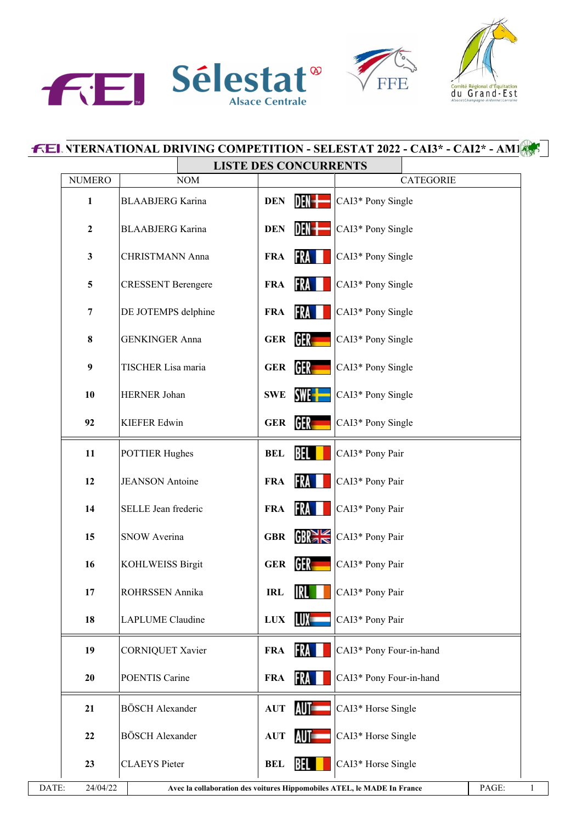

| du | Comité Régional d'Équitation<br>Grand-Est<br>Alsace   Champagne-Ardenne   Lorraine |
|----|------------------------------------------------------------------------------------|

| <b>NUMERO</b><br><b>NOM</b><br><b>BLAABJERG</b> Karina<br><b>BLAABJERG</b> Karina<br><b>CHRISTMANN Anna</b><br><b>CRESSENT Berengere</b> | <b>DEN</b><br><b>DEN</b><br><b>FRA</b>                                              | <b>LISTE DES CONCURRENTS</b><br><b>CATEGORIE</b><br>DEN-I<br>CAI3* Pony Single<br>DEN <del> </del><br>CAI3* Pony Single<br>FRA II<br>CAI3* Pony Single |
|------------------------------------------------------------------------------------------------------------------------------------------|-------------------------------------------------------------------------------------|--------------------------------------------------------------------------------------------------------------------------------------------------------|
|                                                                                                                                          |                                                                                     |                                                                                                                                                        |
|                                                                                                                                          |                                                                                     |                                                                                                                                                        |
|                                                                                                                                          |                                                                                     |                                                                                                                                                        |
|                                                                                                                                          |                                                                                     |                                                                                                                                                        |
|                                                                                                                                          |                                                                                     |                                                                                                                                                        |
|                                                                                                                                          | FRA<br><b>FRA</b>                                                                   | CAI3* Pony Single                                                                                                                                      |
| DE JOTEMPS delphine                                                                                                                      | <b>FRA</b>                                                                          | <b>FRA</b><br>CAI3* Pony Single                                                                                                                        |
| <b>GENKINGER Anna</b>                                                                                                                    | <b>GER</b>                                                                          | GER <b>I</b><br>CAI3* Pony Single                                                                                                                      |
| TISCHER Lisa maria                                                                                                                       | <b>GER</b>                                                                          | CAI3* Pony Single                                                                                                                                      |
| HERNER Johan                                                                                                                             | <b>SWE</b>                                                                          | CAI3* Pony Single                                                                                                                                      |
| <b>KIEFER Edwin</b>                                                                                                                      | <b>GER</b>                                                                          | CAI3* Pony Single                                                                                                                                      |
| <b>POTTIER Hughes</b>                                                                                                                    | <b>BEL</b>                                                                          | CAI3* Pony Pair                                                                                                                                        |
| <b>JEANSON</b> Antoine                                                                                                                   | <b>FRA</b>                                                                          | CAI3* Pony Pair                                                                                                                                        |
| SELLE Jean frederic                                                                                                                      | <b>FRA</b>                                                                          | <b>FRA</b><br>CAI3* Pony Pair                                                                                                                          |
| <b>SNOW Averina</b>                                                                                                                      | <b>GBR</b>                                                                          | GR<br>CAI3* Pony Pair                                                                                                                                  |
| <b>KOHLWEISS Birgit</b>                                                                                                                  | <b>GER</b>                                                                          | CAI3* Pony Pair                                                                                                                                        |
| ROHRSSEN Annika                                                                                                                          | <b>IRL</b>                                                                          | CAI3* Pony Pair                                                                                                                                        |
| LAPLUME Claudine                                                                                                                         | ${\bf LUX}$                                                                         | CAI3* Pony Pair                                                                                                                                        |
| <b>CORNIQUET Xavier</b>                                                                                                                  | <b>FRA</b>                                                                          | CAI3* Pony Four-in-hand                                                                                                                                |
| POENTIS Carine                                                                                                                           | <b>FRA</b>                                                                          | CAI3* Pony Four-in-hand                                                                                                                                |
| <b>BÖSCH</b> Alexander                                                                                                                   | <b>AUT</b>                                                                          | AUT <b>Security</b><br>CAI3* Horse Single                                                                                                              |
| <b>BÖSCH</b> Alexander                                                                                                                   | <b>AUT</b>                                                                          | CAI3* Horse Single                                                                                                                                     |
| <b>CLAEYS</b> Pieter                                                                                                                     | <b>BEL</b>                                                                          | CAI3* Horse Single                                                                                                                                     |
|                                                                                                                                          | 24/04/22<br>Avec la collaboration des voitures Hippomobiles ATEL, le MADE In France | <b>GER</b><br><b>SWE-H</b><br>GER<br>BEL<br>FRA<br>GER<br><b>IRL</b><br>LUX -<br>FRA<br>FRA<br>BEL                                                     |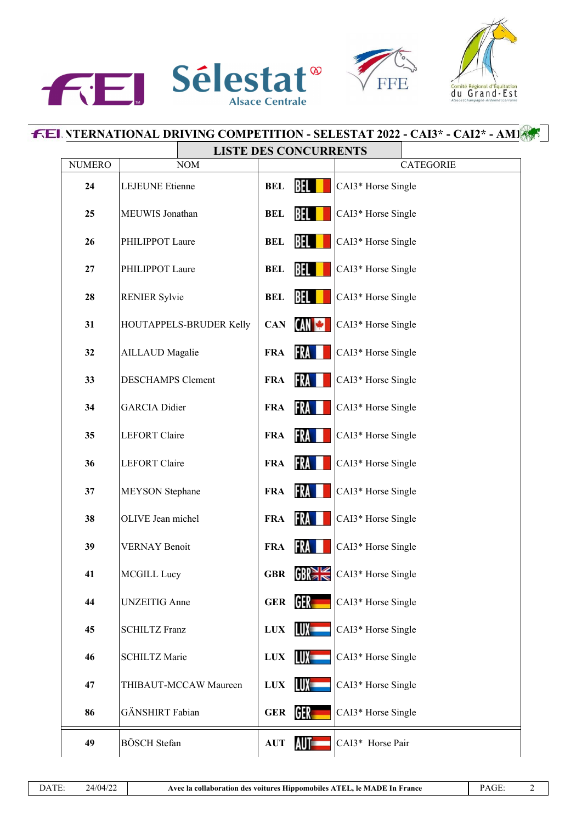





## **F.EL NTERNATIONAL DRIVING COMPETITION - SELESTAT 2022 - CAI3\* - CAI2\* - AM1** Т **LISTE DES CONCURRENTS**

| <b>NUMERO</b> | LIBIE DES CONCONNENTS<br><b>NOM</b> |              |                  | <b>CATEGORIE</b>   |
|---------------|-------------------------------------|--------------|------------------|--------------------|
| 24            | LEJEUNE Etienne                     | <b>BEL</b>   | BEL              | CAI3* Horse Single |
| 25            | MEUWIS Jonathan                     | <b>BEL</b>   | BEL              | CAI3* Horse Single |
| 26            | PHILIPPOT Laure                     | <b>BEL</b>   | BEL              | CAI3* Horse Single |
| 27            | PHILIPPOT Laure                     | <b>BEL</b>   | BEL              | CAI3* Horse Single |
| 28            | <b>RENIER Sylvie</b>                | <b>BEL</b>   | BEL              | CAI3* Horse Single |
| 31            | HOUTAPPELS-BRUDER Kelly             | <b>CAN</b>   | CAN <del>W</del> | CAI3* Horse Single |
| 32            | <b>AILLAUD</b> Magalie              | <b>FRA</b>   | FRA              | CAI3* Horse Single |
| 33            | <b>DESCHAMPS Clement</b>            | <b>FRA</b>   | FRA              | CAI3* Horse Single |
| 34            | <b>GARCIA</b> Didier                | <b>FRA</b>   | FRA              | CAI3* Horse Single |
| 35            | <b>LEFORT</b> Claire                | <b>FRA</b>   | FRA              | CAI3* Horse Single |
| 36            | <b>LEFORT</b> Claire                | <b>FRA</b>   | FRA              | CAI3* Horse Single |
| 37            | <b>MEYSON</b> Stephane              | <b>FRA</b>   | FRA              | CAI3* Horse Single |
| 38            | OLIVE Jean michel                   | <b>FRA</b>   | FRA              | CAI3* Horse Single |
| 39            | <b>VERNAY Benoit</b>                | <b>FRA</b>   | FRA              | CAI3* Horse Single |
| 41            | MCGILL Lucy                         | <b>GBR</b>   |                  | CAI3* Horse Single |
| 44            | <b>UNZEITIG</b> Anne                | <b>GER</b>   | GER.             | CAI3* Horse Single |
| 45            | <b>SCHILTZ Franz</b>                | <b>LUX</b>   | LUX -            | CAI3* Horse Single |
| 46            | <b>SCHILTZ Marie</b>                | $_{\rm LUX}$ | LUX -            | CAI3* Horse Single |
| 47            | THIBAUT-MCCAW Maureen               | <b>LUX</b>   | LUX –            | CAI3* Horse Single |
| 86            | GÄNSHIRT Fabian                     | <b>GER</b>   | GER –            | CAI3* Horse Single |
| 49            | <b>BÖSCH</b> Stefan                 | <b>AUT</b>   | AUT-             | CAI3* Horse Pair   |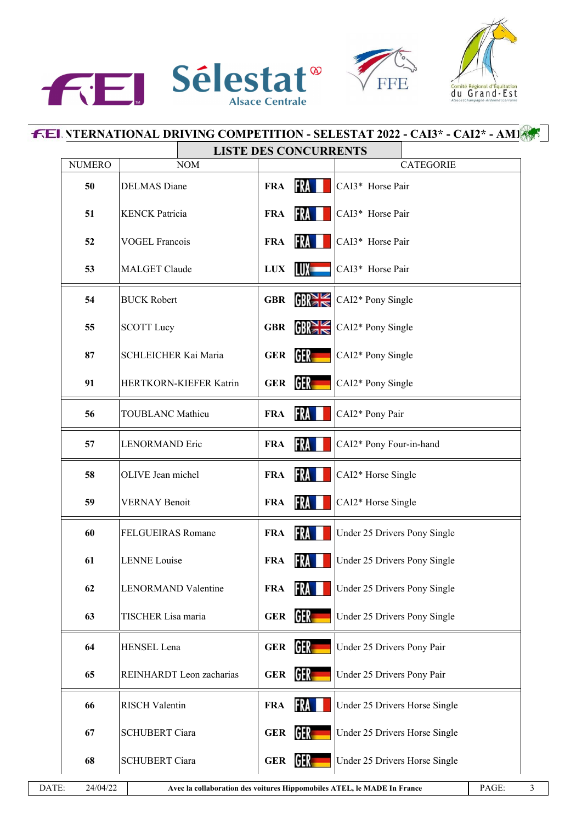





|               | <b>LISTE DES CONCURRENTS</b> |            |                  |                              |                               |  |
|---------------|------------------------------|------------|------------------|------------------------------|-------------------------------|--|
| <b>NUMERO</b> | <b>NOM</b>                   |            |                  |                              | <b>CATEGORIE</b>              |  |
| 50            | <b>DELMAS</b> Diane          | <b>FRA</b> | FRA              | CAI3* Horse Pair             |                               |  |
| 51            | <b>KENCK Patricia</b>        | <b>FRA</b> | FRA              | CAI3* Horse Pair             |                               |  |
| 52            | <b>VOGEL Francois</b>        | <b>FRA</b> | FRA              | CAI3* Horse Pair             |                               |  |
| 53            | <b>MALGET Claude</b>         | <b>LUX</b> | LUX –            | CAI3* Horse Pair             |                               |  |
| 54            | <b>BUCK Robert</b>           | <b>GBR</b> | GR <sub>1</sub>  | CAI2* Pony Single            |                               |  |
| 55            | <b>SCOTT Lucy</b>            | <b>GBR</b> | GR <sub>1</sub>  | CAI2* Pony Single            |                               |  |
| 87            | SCHLEICHER Kai Maria         | <b>GER</b> | GER –            | CAI2* Pony Single            |                               |  |
| 91            | HERTKORN-KIEFER Katrin       | <b>GER</b> | GER –            | CAI2* Pony Single            |                               |  |
| 56            | <b>TOUBLANC Mathieu</b>      | <b>FRA</b> | FRA              | CAI2* Pony Pair              |                               |  |
| 57            | <b>LENORMAND Eric</b>        | <b>FRA</b> | <b>FRA</b>       | CAI2* Pony Four-in-hand      |                               |  |
| 58            | OLIVE Jean michel            | <b>FRA</b> | FRA              | CAI2* Horse Single           |                               |  |
| 59            | <b>VERNAY Benoit</b>         | <b>FRA</b> | <b>FRA</b>       | CAI2* Horse Single           |                               |  |
| 60            | FELGUEIRAS Romane            | <b>FRA</b> | FRA              | Under 25 Drivers Pony Single |                               |  |
| 61            | <b>LENNE</b> Louise          | <b>FRA</b> | FRA I I          | Under 25 Drivers Pony Single |                               |  |
| 62            | LENORMAND Valentine          | <b>FRA</b> | FRA              | Under 25 Drivers Pony Single |                               |  |
| 63            | TISCHER Lisa maria           | <b>GER</b> | <b>GER</b>       | Under 25 Drivers Pony Single |                               |  |
| 64            | HENSEL Lena                  | <b>GER</b> | GER <sub>1</sub> | Under 25 Drivers Pony Pair   |                               |  |
| 65            | REINHARDT Leon zacharias     | <b>GER</b> | GER              | Under 25 Drivers Pony Pair   |                               |  |
| 66            | <b>RISCH Valentin</b>        | <b>FRA</b> | FRA              |                              | Under 25 Drivers Horse Single |  |
| 67            | <b>SCHUBERT Ciara</b>        | <b>GER</b> | GER              |                              | Under 25 Drivers Horse Single |  |
| 68            | <b>SCHUBERT Ciara</b>        | <b>GER</b> | GER              |                              | Under 25 Drivers Horse Single |  |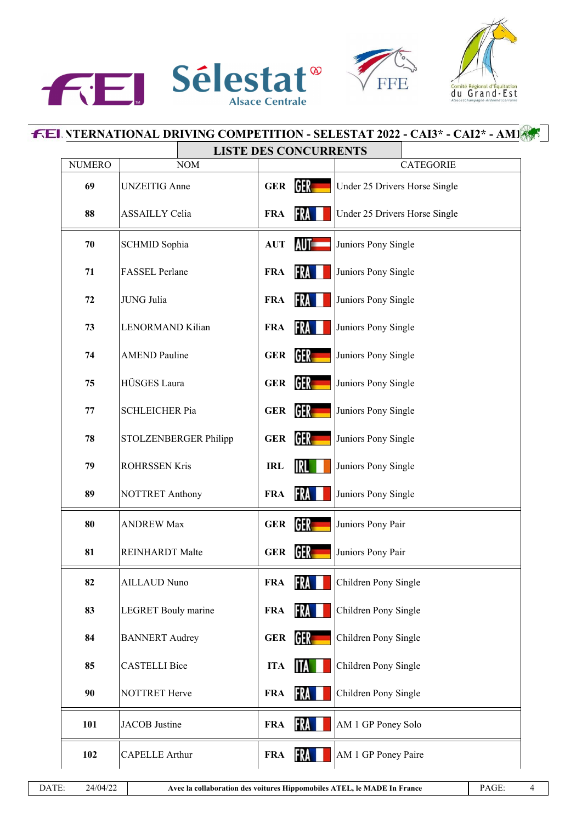





## **F.EI. YTERNATIONAL DRIVING COMPETITION - SELESTAT 2022 - CAI3\* - CAI2\* - AM1**

|               | <b>LISTE DES CONCURRENTS</b> |            |            |                               |
|---------------|------------------------------|------------|------------|-------------------------------|
| <b>NUMERO</b> | <b>NOM</b>                   |            |            | CATEGORIE                     |
| 69            | <b>UNZEITIG</b> Anne         | <b>GER</b> | GER        | Under 25 Drivers Horse Single |
| 88            | <b>ASSAILLY Celia</b>        | <b>FRA</b> | FRA        | Under 25 Drivers Horse Single |
| 70            | SCHMID Sophia                |            | AUT=       | Juniors Pony Single           |
| 71            | FASSEL Perlane               | <b>FRA</b> | FRA        | Juniors Pony Single           |
| 72            | JUNG Julia                   | <b>FRA</b> | FRA        | Juniors Pony Single           |
| 73            | LENORMAND Kilian             | <b>FRA</b> | FRA        | Juniors Pony Single           |
| 74            | <b>AMEND Pauline</b>         | <b>GER</b> | GER.       | Juniors Pony Single           |
| 75            | HÜSGES Laura                 | <b>GER</b> | <b>GER</b> | Juniors Pony Single           |
| 77            | <b>SCHLEICHER Pia</b>        | <b>GER</b> | GER.       | Juniors Pony Single           |
| 78            | STOLZENBERGER Philipp        | <b>GER</b> | GER .      | Juniors Pony Single           |
| 79            | <b>ROHRSSEN Kris</b>         | <b>IRL</b> | IRL        | Juniors Pony Single           |
| 89            | <b>NOTTRET Anthony</b>       | <b>FRA</b> | FRA L      | Juniors Pony Single           |
| 80            | <b>ANDREW Max</b>            | <b>GER</b> | <b>GER</b> | Juniors Pony Pair             |
| 81            | <b>REINHARDT</b> Malte       | <b>GER</b> | <b>GER</b> | Juniors Pony Pair             |
| 82            | AILLAUD Nuno                 | <b>FRA</b> | <b>FRA</b> | Children Pony Single          |
| 83            | <b>LEGRET</b> Bouly marine   | <b>FRA</b> | FRA I      | Children Pony Single          |
| 84            | <b>BANNERT</b> Audrey        | <b>GER</b> | GER .      | Children Pony Single          |
| 85            | <b>CASTELLI Bice</b>         | <b>ITA</b> | 11A        | Children Pony Single          |
| 90            | NOTTRET Herve                | <b>FRA</b> | FRA        | Children Pony Single          |
| 101           | JACOB Justine                | <b>FRA</b> | FRA I      | AM 1 GP Poney Solo            |
| 102           | <b>CAPELLE Arthur</b>        | <b>FRA</b> | FRA        | AM 1 GP Poney Paire           |
|               |                              |            |            |                               |